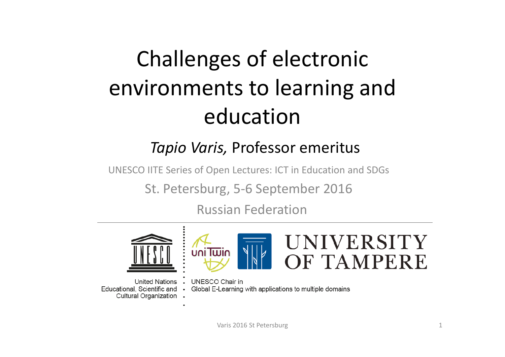### Challenges of electronic environments to learning and education

#### *Tapio Varis,* Professor emeritus

UNESCO IITE Series of Open Lectures: ICT in Education and SDGs

St. Petersburg, 5‐6 September 2016

Russian Federation



**United Nations** Educational, Scientific and Cultural Organization .



**UNESCO Chair in**  $\sim$ Global E-Learning with applications to multiple domains  $\bullet$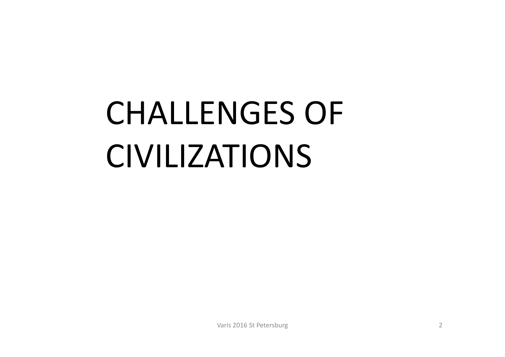## CHALLENGES OF CIVILIZATIONS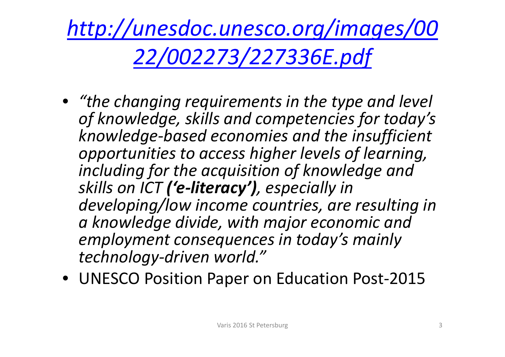*http://unesdoc.unesco.org/images/00 22/002273/227336E.pdf*

- *"the changing requirements in the type and level of knowledge, skills and competencies for today's knowledge ‐based economies and the insufficient opportunities to access higher levels of learning, including for the acquisition of knowledge and skills on ICT ('e ‐literacy'), especially in developing/low income countries, are resulting in a knowledge divide, with major economic and employment consequences in today's mainly technology ‐driven world."*
- UNESCO Position Paper on Education Post ‐2015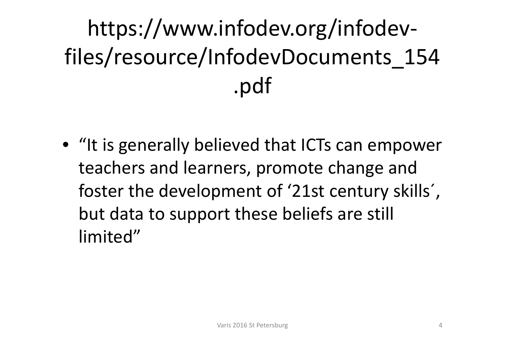### https://www.infodev.org/infodev ‐files/resource/InfodevDocuments\_154 .pdf

• "It is generally believed that ICTs can empower teachers and learners, promote change and foster the development of '21st century skills´, but data to support these beliefs are still limited"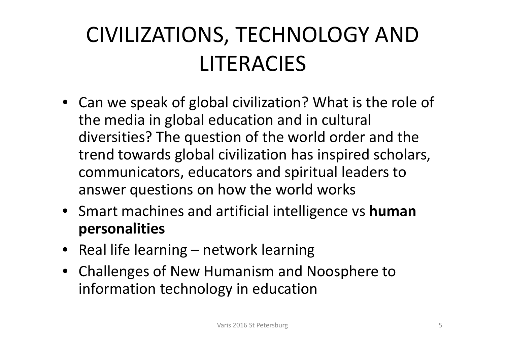### CIVILIZATIONS, TECHNOLOGY AND LITERACIES

- Can we speak of global civilization? What is the role of the media in global education and in cultural diversities? The question of the world order and the trend towards global civilization has inspired scholars, communicators, educators and spiritual leaders to answer questions on how the world works
- Smart machines and artificial intelligence vs **human personalities**
- Real life learning network learning
- Challenges of New Humanism and Noosphere to information technology in education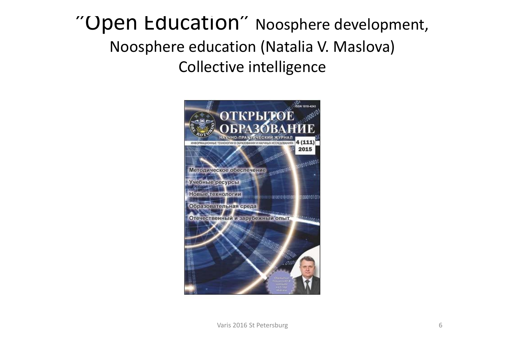### "Open Education" Noosphere development, Noosphere education (Natalia V. Maslova) Collective intelligence

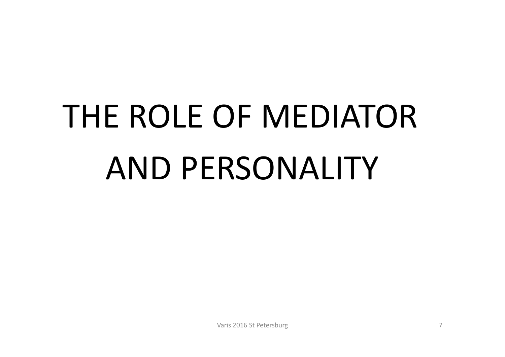# THE ROLE OF MEDIATORAND PERSONALITY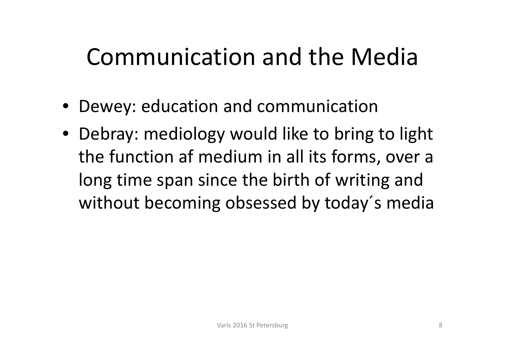### Communication and the Media

- Dewey: education and communication
- Debray: mediology would like to bring to light the function af medium in all its forms, over <sup>a</sup> long time span since the birth of writing and without becoming obsessed by today´s media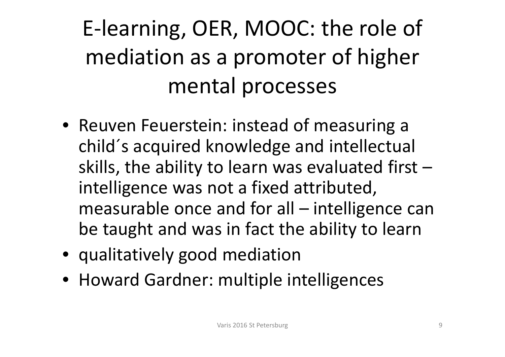### E‐learning, OER, MOOC: the role of mediation as a promoter of higher mental processes

- Reuven Feuerstein: instead of measuring <sup>a</sup> child´s acquired knowledge and intellectual skills, the ability to learn was evaluated first – intelligence was not <sup>a</sup> fixed attributed, measurable once and for all – intelligence can be taught and was in fact the ability to learn
- qualitatively good mediation
- Howard Gardner: multiple intelligences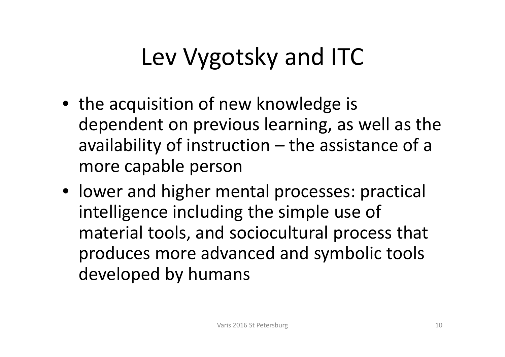## Lev Vygotsky and ITC

- the acquisition of new knowledge is dependent on previous learning, as well as the availability of instruction – the assistance of a more capable person
- lower and higher mental processes: practical intelligence including the simple use of material tools, and sociocultural process that produces more advanced and symbolic tools developed by humans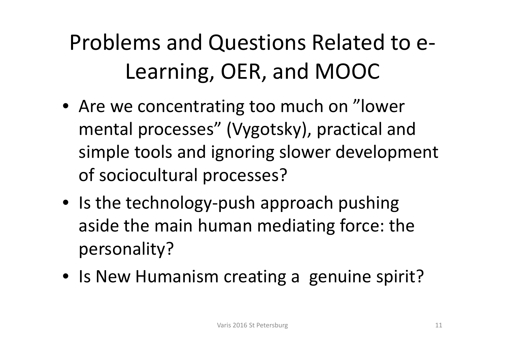### Problems and Questions Related to <sup>e</sup>‐ Learning, OER, and MOOC

- Are we concentrating too much on "lower mental processes" (Vygotsky), practical and simple tools and ignoring slower development of sociocultural processes?
- Is the technology‐push approach pushing aside the main human mediating force: the personality?
- Is New Humanism creating <sup>a</sup> genuine spirit?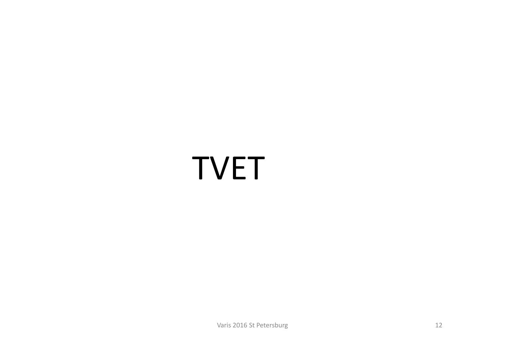## TVET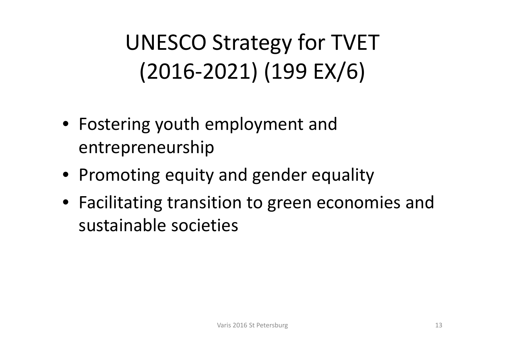### UNESCO Strategy for TVET (2016‐2021) (199 EX/6)

- Fostering youth employment and entrepreneurship
- Promoting equity and gender equality
- Facilitating transition to green economies and sustainable societies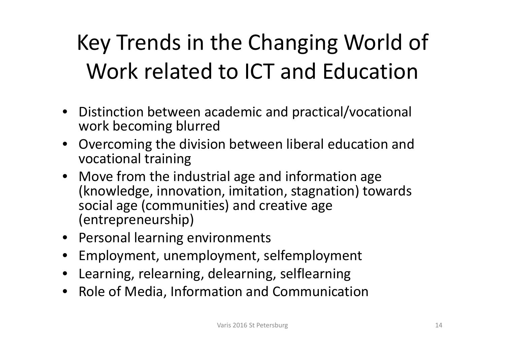### Key Trends in the Changing World of Work related to ICT and Education

- Distinction between academic and practical/vocational work becoming blurred
- Overcoming the division between liberal education and vocational training
- Move from the industrial age and information age (knowledge, innovation, imitation, stagnation) towards social age (communities) and creative age (entrepreneurship)
- Personal learning environments
- •Employment, unemployment, selfemployment
- Learning, relearning, delearning, selflearning
- Role of Media, Information and Communication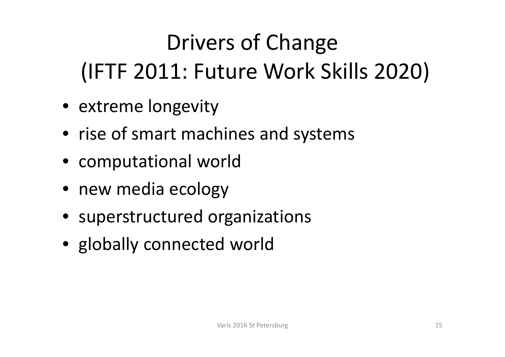## Drivers of Change (IFTF 2011: Future Work Skills 2020)

- extreme longevity
- rise of smart machines and systems
- computational world
- new media ecology
- superstructured organizations
- globally connected world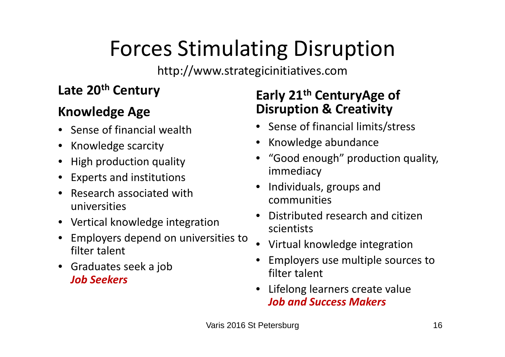### Forces Stimulating Disruption

http://www.strategicinitiatives.com

#### **Late 20th Century**

#### **Knowledge Age**

- Sense of financial wealth
- Knowledge scarcity
- High production quality
- Experts and institutions
- Research associated with universities
- Vertical knowledge integration
- Employers depend on universities to filter talent
- Graduates seek a job *Job Seekers*

#### **Early 21th CenturyAge of Disruption & Creativity**

- Sense of financial limits/stress
- Knowledge abundance
- "Good enough" production quality, immediacy
- • Individuals, groups and communities
- •**•** Distributed research and citizen scientists
- •Virtual knowledge integration
- • Employers use multiple sources to filter talent
- • Lifelong learners create value *Job and Success Makers*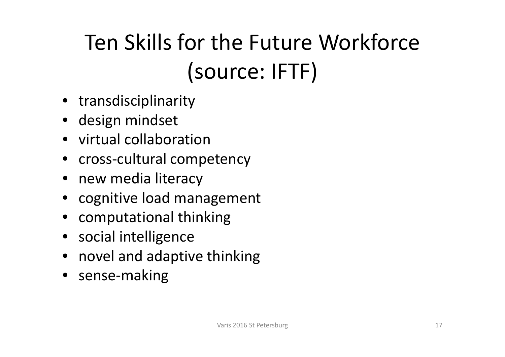### Ten Skills for the Future Workforce (source: IFTF)

- transdisciplinarity
- design mindset
- virtual collaboration
- cross-cultural competency
- new media literacy
- cognitive load management
- computational thinking
- social intelligence
- novel and adaptive thinking
- sense‐making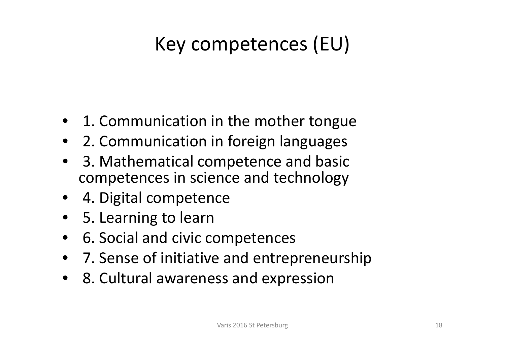### Key competences (EU)

- 1. Communication in the mother tongue
- 2. Communication in foreign languages
- • 3. Mathematical competence and basic competences in science and technology
- 4. Digital competence
- 5. Learning to learn
- $\bullet$ 6. Social and civic competences
- 7. Sense of initiative and entrepreneurship
- 8. Cultural awareness and expression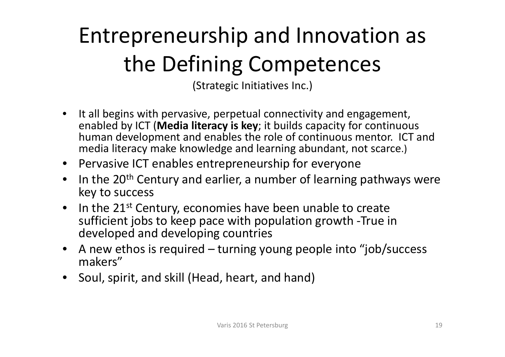### Entrepreneurship and Innovation as the Defining Competences

(Strategic Initiatives Inc.)

- $\bullet$  It all begins with pervasive, perpetual connectivity and engagement, enabled by ICT (**Media literacy is key**; it builds capacity for continuous human development and enables the role of continuous mentor. ICT and media literacy make knowledge and learning abundant, not scarce.)
- Pervasive ICT enables entrepreneurship for everyone
- •• In the 20<sup>th</sup> Century and earlier, a number of learning pathways were key to success
- In the 21<sup>st</sup> Century, economies have been unable to create sufficient jobs to keep pace with population growth ‐True in developed and developing countries
- A new ethos is required turning young people into "job/success makers"
- Soul, spirit, and skill (Head, heart, and hand)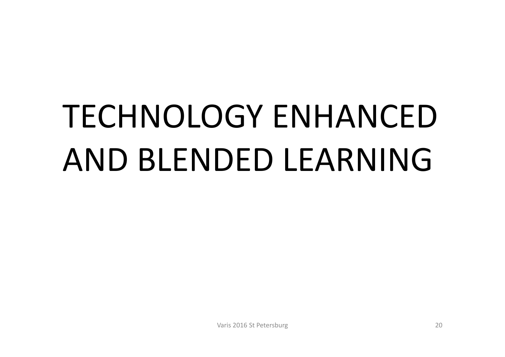# TECHNOLOGY ENHANCEDAND BLENDED LEARNING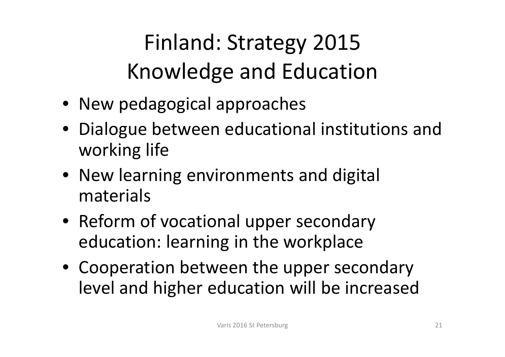Finland: Strategy 2015 Knowledge and Education

- New pedagogical approaches
- Dialogue between educational institutions and working life
- New learning environments and digital materials
- Reform of vocational upper secondary education: learning in the workplace
- Cooperation between the upper secondary level and higher education will be increased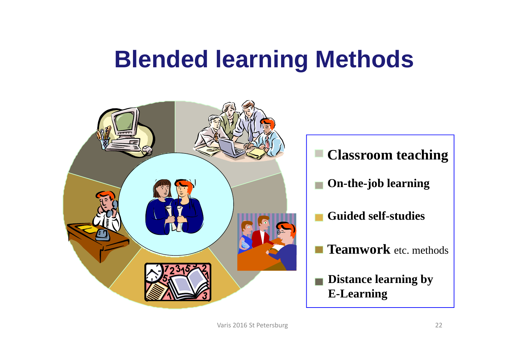### **Blended learning Methods**

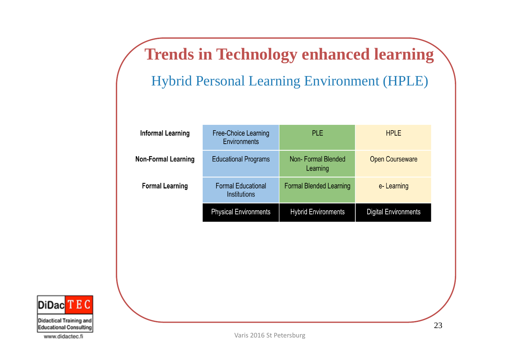**Trends in Technology enhanced learning** Hybrid Personal Learning Environment (HPLE)

| <b>Informal Learning</b>   | Free-Choice Learning<br>Environments             | <b>PLE</b>                     | <b>HPLE</b>                 |
|----------------------------|--------------------------------------------------|--------------------------------|-----------------------------|
| <b>Non-Formal Learning</b> | <b>Educational Programs</b>                      | Non-Formal Blended<br>Learning | <b>Open Courseware</b>      |
| <b>Formal Learning</b>     | <b>Formal Educational</b><br><b>Institutions</b> | <b>Formal Blended Learning</b> | e-Learning                  |
|                            | <b>Physical Environments</b>                     | <b>Hybrid Environments</b>     | <b>Digital Environments</b> |



Didactical Training and Educational Consulting

www.didactec.fi

Varis 2016 St Petersburg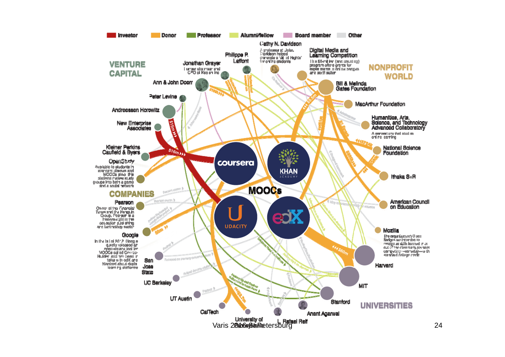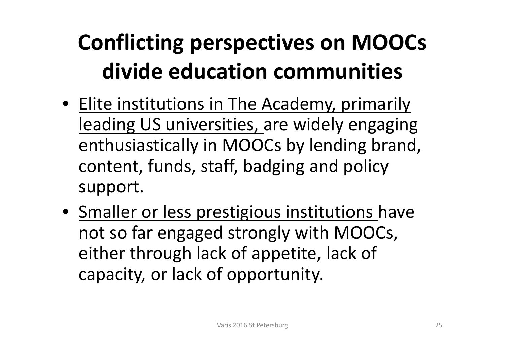### **Conflicting perspectives on MOOCs divide education communities**

- Elite institutions in The Academy, primarily leading US universities, are widely engaging enthusiastically in MOOCs by lending brand, content, funds, staff, badging and policy support.
- Smaller or less prestigious institutions have not so far engaged strongly with MOOCs, either through lack of appetite, lack of capacity, or lack of opportunity.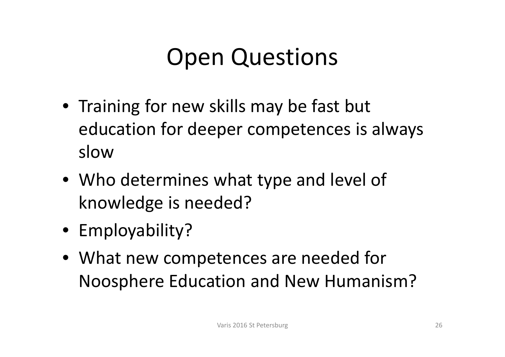### Open Questions

- Training for new skills may be fast but education for deeper competences is always slow
- Who determines what type and level of knowledge is needed?
- Employability?
- What new competences are needed for Noosphere Education and New Humanism?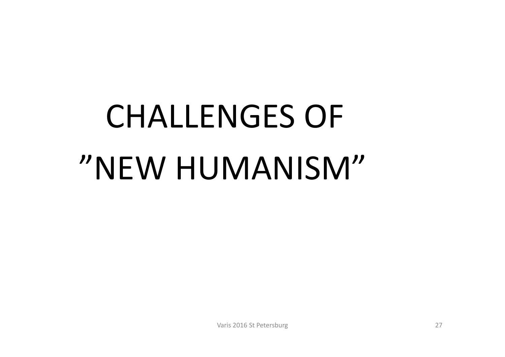# CHALLENGES OF "NEW HUMANISM"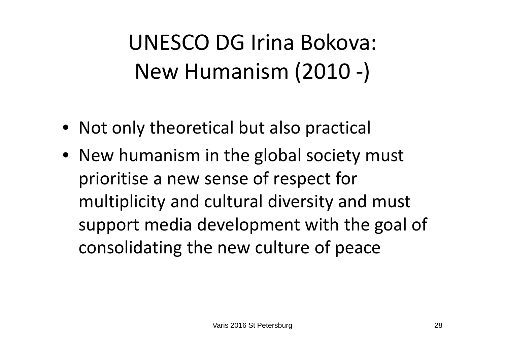### UNESCO DG Irina Bokova: New Humanism (2010 ‐)

- Not only theoretical but also practical
- New humanism in the global society must prioritise <sup>a</sup> new sense of respect for multiplicity and cultural diversity and must support media development with the goal of consolidating the new culture of peace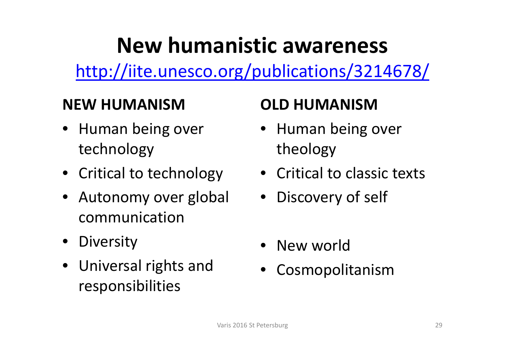### **New humanistic awareness**

http://iite.unesco.org/publications/3214678/

#### **NEW HUMANISM**

- Human being over technology
- Critical to technology
- Autonomy over global communication
- Diversity
- Universal rights and responsibilities

#### **OLD HUMANISM**

- Human being over theology
- Critical to classic texts
- Discovery of self
- New world
- Cosmopolitanism